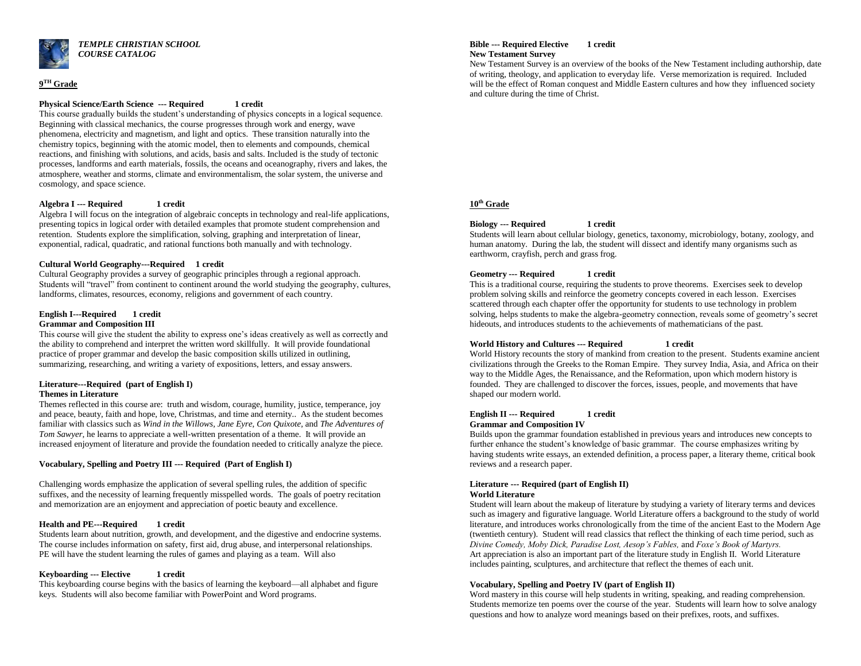*TEMPLE CHRISTIAN SCHOOL COURSE CATALOG*

# **9 TH Grade**

## **Physical Science/Earth Science --- Required 1 credit**

This course gradually builds the student's understanding of physics concepts in a logical sequence. Beginning with classical mechanics, the course progresses through work and energy, wave phenomena, electricity and magnetism, and light and optics. These transition naturally into the chemistry topics, beginning with the atomic model, then to elements and compounds, chemical reactions, and finishing with solutions, and acids, basis and salts. Included is the study of tectonic processes, landforms and earth materials, fossils, the oceans and oceanography, rivers and lakes, the atmosphere, weather and storms, climate and environmentalism, the solar system, the universe and cosmology, and space science.

## **Algebra I --- Required 1 credit**

Algebra I will focus on the integration of algebraic concepts in technology and real-life applications, presenting topics in logical order with detailed examples that promote student comprehension and retention. Students explore the simplification, solving, graphing and interpretation of linear, exponential, radical, quadratic, and rational functions both manually and with technology.

## **Cultural World Geography---Required 1 credit**

Cultural Geography provides a survey of geographic principles through a regional approach. Students will "travel" from continent to continent around the world studying the geography, cultures, landforms, climates, resources, economy, religions and government of each country.

#### **English I---Required 1 credit Grammar and Composition III**

This course will give the student the ability to express one's ideas creatively as well as correctly and the ability to comprehend and interpret the written word skillfully. It will provide foundational practice of proper grammar and develop the basic composition skills utilized in outlining, summarizing, researching, and writing a variety of expositions, letters, and essay answers.

## **Literature---Required (part of English I) Themes in Literature**

Themes reflected in this course are: truth and wisdom, courage, humility, justice, temperance, joy and peace, beauty, faith and hope, love, Christmas, and time and eternity.. As the student becomes familiar with classics such as *Wind in the Willows, Jane Eyre, Con Quixote,* and *The Adventures of Tom Sawyer,* he learns to appreciate a well-written presentation of a theme. It will provide an increased enjoyment of literature and provide the foundation needed to critically analyze the piece.

## **Vocabulary, Spelling and Poetry III --- Required (Part of English I)**

Challenging words emphasize the application of several spelling rules, the addition of specific suffixes, and the necessity of learning frequently misspelled words. The goals of poetry recitation and memorization are an enjoyment and appreciation of poetic beauty and excellence.

## **Health and PE---Required 1 credit**

Students learn about nutrition, growth, and development, and the digestive and endocrine systems. The course includes information on safety, first aid, drug abuse, and interpersonal relationships. PE will have the student learning the rules of games and playing as a team. Will also

## **Keyboarding --- Elective 1 credit**

This keyboarding course begins with the basics of learning the keyboard—all alphabet and figure keys. Students will also become familiar with PowerPoint and Word programs.

#### **Bible --- Required Elective 1 credit New Testament Survey**

New Testament Survey is an overview of the books of the New Testament including authorship, date of writing, theology, and application to everyday life. Verse memorization is required. Included will be the effect of Roman conquest and Middle Eastern cultures and how they influenced society and culture during the time of Christ.

# **10th Grade**

## **Biology --- Required 1 credit**

Students will learn about cellular biology, genetics, taxonomy, microbiology, botany, zoology, and human anatomy. During the lab, the student will dissect and identify many organisms such as earthworm, crayfish, perch and grass frog.

#### **Geometry --- Required 1 credit**

This is a traditional course, requiring the students to prove theorems. Exercises seek to develop problem solving skills and reinforce the geometry concepts covered in each lesson. Exercises scattered through each chapter offer the opportunity for students to use technology in problem solving, helps students to make the algebra-geometry connection, reveals some of geometry's secret hideouts, and introduces students to the achievements of mathematicians of the past.

# **World History and Cultures --- Required 1 credit**

World History recounts the story of mankind from creation to the present. Students examine ancient civilizations through the Greeks to the Roman Empire. They survey India, Asia, and Africa on their way to the Middle Ages, the Renaissance, and the Reformation, upon which modern history is founded. They are challenged to discover the forces, issues, people, and movements that have shaped our modern world.

#### **English II --- Required 1 credit Grammar and Composition IV**

Builds upon the grammar foundation established in previous years and introduces new concepts to further enhance the student's knowledge of basic grammar. The course emphasizes writing by having students write essays, an extended definition, a process paper, a literary theme, critical book reviews and a research paper.

#### **Literature --- Required (part of English II) World Literature**

Student will learn about the makeup of literature by studying a variety of literary terms and devices such as imagery and figurative language. World Literature offers a background to the study of world literature, and introduces works chronologically from the time of the ancient East to the Modern Age (twentieth century). Student will read classics that reflect the thinking of each time period, such as *Divine Comedy, Moby Dick, Paradise Lost, Aesop's Fables,* and *Foxe's Book of Martyrs.*  Art appreciation is also an important part of the literature study in English II. World Literature includes painting, sculptures, and architecture that reflect the themes of each unit.

## **Vocabulary, Spelling and Poetry IV (part of English II)**

Word mastery in this course will help students in writing, speaking, and reading comprehension. Students memorize ten poems over the course of the year. Students will learn how to solve analogy questions and how to analyze word meanings based on their prefixes, roots, and suffixes.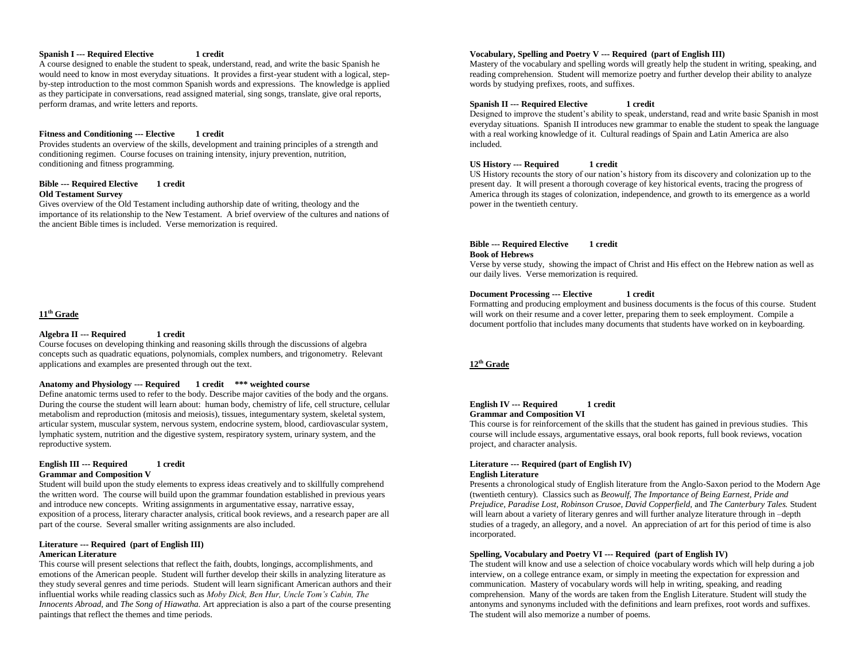#### **Spanish I --- Required Elective 1 credit**

A course designed to enable the student to speak, understand, read, and write the basic Spanish he would need to know in most everyday situations. It provides a first-year student with a logical, stepby-step introduction to the most common Spanish words and expressions. The knowledge is applied as they participate in conversations, read assigned material, sing songs, translate, give oral reports, perform dramas, and write letters and reports.

#### **Fitness and Conditioning --- Elective 1 credit**

Provides students an overview of the skills, development and training principles of a strength and conditioning regimen. Course focuses on training intensity, injury prevention, nutrition, conditioning and fitness programming.

#### **Bible --- Required Elective 1 credit Old Testament Survey**

Gives overview of the Old Testament including authorship date of writing, theology and the importance of its relationship to the New Testament. A brief overview of the cultures and nations of the ancient Bible times is included. Verse memorization is required.

## **11th Grade**

## **Algebra II --- Required 1 credit**

Course focuses on developing thinking and reasoning skills through the discussions of algebra concepts such as quadratic equations, polynomials, complex numbers, and trigonometry. Relevant applications and examples are presented through out the text.

#### **Anatomy and Physiology --- Required 1 credit \*\*\* weighted course**

Define anatomic terms used to refer to the body. Describe major cavities of the body and the organs. During the course the student will learn about: human body, chemistry of life, cell structure, cellular metabolism and reproduction (mitosis and meiosis), tissues, integumentary system, skeletal system, articular system, muscular system, nervous system, endocrine system, blood, cardiovascular system, lymphatic system, nutrition and the digestive system, respiratory system, urinary system, and the reproductive system.

#### **English III --- Required 1 credit Grammar and Composition V**

Student will build upon the study elements to express ideas creatively and to skillfully comprehend the written word. The course will build upon the grammar foundation established in previous years and introduce new concepts. Writing assignments in argumentative essay, narrative essay, exposition of a process, literary character analysis, critical book reviews, and a research paper are all part of the course. Several smaller writing assignments are also included.

#### **Literature --- Required (part of English III) American Literature**

This course will present selections that reflect the faith, doubts, longings, accomplishments, and emotions of the American people. Student will further develop their skills in analyzing literature as they study several genres and time periods. Student will learn significant American authors and their influential works while reading classics such as *Moby Dick, Ben Hur, Uncle Tom's Cabin, The Innocents Abroad,* and *The Song of Hiawatha.* Art appreciation is also a part of the course presenting paintings that reflect the themes and time periods.

#### **Vocabulary, Spelling and Poetry V --- Required (part of English III)**

Mastery of the vocabulary and spelling words will greatly help the student in writing, speaking, and reading comprehension. Student will memorize poetry and further develop their ability to analyze words by studying prefixes, roots, and suffixes.

#### **Spanish II --- Required Elective 1 credit**

Designed to improve the student's ability to speak, understand, read and write basic Spanish in most everyday situations. Spanish II introduces new grammar to enable the student to speak the language with a real working knowledge of it. Cultural readings of Spain and Latin America are also included.

#### **US History --- Required 1 credit**

US History recounts the story of our nation's history from its discovery and colonization up to the present day. It will present a thorough coverage of key historical events, tracing the progress of America through its stages of colonization, independence, and growth to its emergence as a world power in the twentieth century.

#### **Bible --- Required Elective 1 credit Book of Hebrews**

Verse by verse study, showing the impact of Christ and His effect on the Hebrew nation as well as our daily lives. Verse memorization is required.

#### **Document Processing --- Elective 1 credit**

Formatting and producing employment and business documents is the focus of this course. Student will work on their resume and a cover letter, preparing them to seek employment. Compile a document portfolio that includes many documents that students have worked on in keyboarding.

**12th Grade**

## **English IV --- Required 1 credit Grammar and Composition VI**

This course is for reinforcement of the skills that the student has gained in previous studies. This course will include essays, argumentative essays, oral book reports, full book reviews, vocation project, and character analysis.

#### **Literature --- Required (part of English IV) English Literature**

Presents a chronological study of English literature from the Anglo-Saxon period to the Modern Age (twentieth century). Classics such as *Beowulf, The Importance of Being Earnest, Pride and Prejudice, Paradise Lost, Robinson Crusoe, David Copperfield,* and *The Canterbury Tales.* Student will learn about a variety of literary genres and will further analyze literature through in –depth studies of a tragedy, an allegory, and a novel. An appreciation of art for this period of time is also incorporated.

#### **Spelling, Vocabulary and Poetry VI --- Required (part of English IV)**

The student will know and use a selection of choice vocabulary words which will help during a job interview, on a college entrance exam, or simply in meeting the expectation for expression and communication. Mastery of vocabulary words will help in writing, speaking, and reading comprehension. Many of the words are taken from the English Literature. Student will study the antonyms and synonyms included with the definitions and learn prefixes, root words and suffixes. The student will also memorize a number of poems.